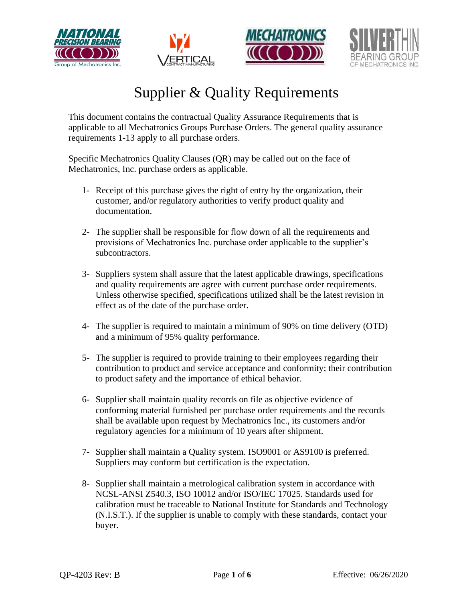







This document contains the contractual Quality Assurance Requirements that is applicable to all Mechatronics Groups Purchase Orders. The general quality assurance requirements 1-13 apply to all purchase orders.

Specific Mechatronics Quality Clauses (QR) may be called out on the face of Mechatronics, Inc. purchase orders as applicable.

- 1- Receipt of this purchase gives the right of entry by the organization, their customer, and/or regulatory authorities to verify product quality and documentation.
- 2- The supplier shall be responsible for flow down of all the requirements and provisions of Mechatronics Inc. purchase order applicable to the supplier's subcontractors.
- 3- Suppliers system shall assure that the latest applicable drawings, specifications and quality requirements are agree with current purchase order requirements. Unless otherwise specified, specifications utilized shall be the latest revision in effect as of the date of the purchase order.
- 4- The supplier is required to maintain a minimum of 90% on time delivery (OTD) and a minimum of 95% quality performance.
- 5- The supplier is required to provide training to their employees regarding their contribution to product and service acceptance and conformity; their contribution to product safety and the importance of ethical behavior.
- 6- Supplier shall maintain quality records on file as objective evidence of conforming material furnished per purchase order requirements and the records shall be available upon request by Mechatronics Inc., its customers and/or regulatory agencies for a minimum of 10 years after shipment.
- 7- Supplier shall maintain a Quality system. ISO9001 or AS9100 is preferred. Suppliers may conform but certification is the expectation.
- 8- Supplier shall maintain a metrological calibration system in accordance with NCSL-ANSI Z540.3, ISO 10012 and/or ISO/IEC 17025. Standards used for calibration must be traceable to National Institute for Standards and Technology (N.I.S.T.). If the supplier is unable to comply with these standards, contact your buyer.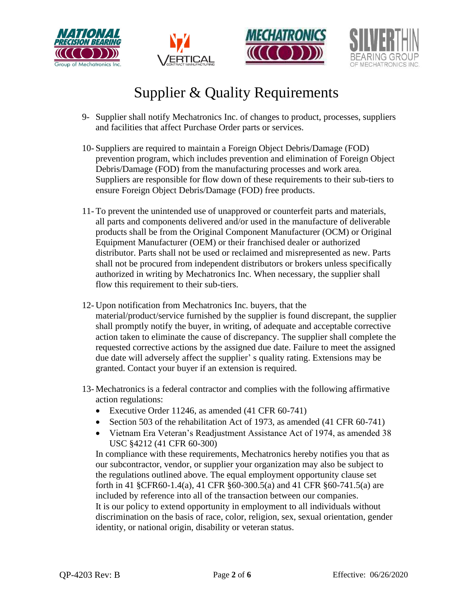







- 9- Supplier shall notify Mechatronics Inc. of changes to product, processes, suppliers and facilities that affect Purchase Order parts or services.
- 10- Suppliers are required to maintain a Foreign Object Debris/Damage (FOD) prevention program, which includes prevention and elimination of Foreign Object Debris/Damage (FOD) from the manufacturing processes and work area. Suppliers are responsible for flow down of these requirements to their sub-tiers to ensure Foreign Object Debris/Damage (FOD) free products.
- 11- To prevent the unintended use of unapproved or counterfeit parts and materials, all parts and components delivered and/or used in the manufacture of deliverable products shall be from the Original Component Manufacturer (OCM) or Original Equipment Manufacturer (OEM) or their franchised dealer or authorized distributor. Parts shall not be used or reclaimed and misrepresented as new. Parts shall not be procured from independent distributors or brokers unless specifically authorized in writing by Mechatronics Inc. When necessary, the supplier shall flow this requirement to their sub-tiers.
- 12- Upon notification from Mechatronics Inc. buyers, that the material/product/service furnished by the supplier is found discrepant, the supplier shall promptly notify the buyer, in writing, of adequate and acceptable corrective action taken to eliminate the cause of discrepancy. The supplier shall complete the requested corrective actions by the assigned due date. Failure to meet the assigned due date will adversely affect the supplier' s quality rating. Extensions may be granted. Contact your buyer if an extension is required.
- 13- Mechatronics is a federal contractor and complies with the following affirmative action regulations:
	- Executive Order 11246, as amended (41 CFR 60-741)
	- Section 503 of the rehabilitation Act of 1973, as amended (41 CFR 60-741)
	- Vietnam Era Veteran's Readjustment Assistance Act of 1974, as amended 38 USC §4212 (41 CFR 60-300)

In compliance with these requirements, Mechatronics hereby notifies you that as our subcontractor, vendor, or supplier your organization may also be subject to the regulations outlined above. The equal employment opportunity clause set forth in 41 §CFR60-1.4(a), 41 CFR §60-300.5(a) and 41 CFR §60-741.5(a) are included by reference into all of the transaction between our companies. It is our policy to extend opportunity in employment to all individuals without discrimination on the basis of race, color, religion, sex, sexual orientation, gender identity, or national origin, disability or veteran status.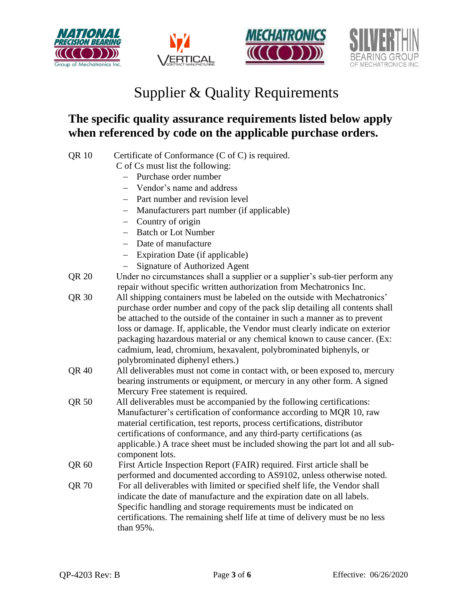







#### **The specific quality assurance requirements listed below apply when referenced by code on the applicable purchase orders.**

| <b>QR10</b>  | Certificate of Conformance $(C \text{ of } C)$ is required.                                      |
|--------------|--------------------------------------------------------------------------------------------------|
|              | C of Cs must list the following:                                                                 |
|              | Purchase order number                                                                            |
|              | Vendor's name and address                                                                        |
|              | Part number and revision level                                                                   |
|              | Manufacturers part number (if applicable)                                                        |
|              | Country of origin                                                                                |
|              | <b>Batch or Lot Number</b>                                                                       |
|              | Date of manufacture<br>$\qquad \qquad -$                                                         |
|              | Expiration Date (if applicable)<br>$\overline{\phantom{m}}$                                      |
|              | <b>Signature of Authorized Agent</b>                                                             |
| QR 20        | Under no circumstances shall a supplier or a supplier's sub-tier perform any                     |
|              | repair without specific written authorization from Mechatronics Inc.                             |
| QR 30        | All shipping containers must be labeled on the outside with Mechatronics'                        |
|              | purchase order number and copy of the pack slip detailing all contents shall                     |
|              | be attached to the outside of the container in such a manner as to prevent                       |
|              | loss or damage. If, applicable, the Vendor must clearly indicate on exterior                     |
|              | packaging hazardous material or any chemical known to cause cancer. (Ex:                         |
|              | cadmium, lead, chromium, hexavalent, polybrominated biphenyls, or                                |
|              | polybrominated diphenyl ethers.)                                                                 |
| <b>QR 40</b> | All deliverables must not come in contact with, or been exposed to, mercury                      |
|              | bearing instruments or equipment, or mercury in any other form. A signed                         |
|              | Mercury Free statement is required.                                                              |
| QR 50        | All deliverables must be accompanied by the following certifications:                            |
|              | Manufacturer's certification of conformance according to MQR 10, raw                             |
|              | material certification, test reports, process certifications, distributor                        |
|              | certifications of conformance, and any third-party certifications (as                            |
|              | applicable.) A trace sheet must be included showing the part lot and all sub-<br>component lots. |
| QR 60        | First Article Inspection Report (FAIR) required. First article shall be                          |
| QR 70        | performed and documented according to AS9102, unless otherwise noted.                            |
|              | For all deliverables with limited or specified shelf life, the Vendor shall                      |
|              | indicate the date of manufacture and the expiration date on all labels.                          |
|              | Specific handling and storage requirements must be indicated on                                  |
|              | certifications. The remaining shelf life at time of delivery must be no less                     |
|              | than 95%.                                                                                        |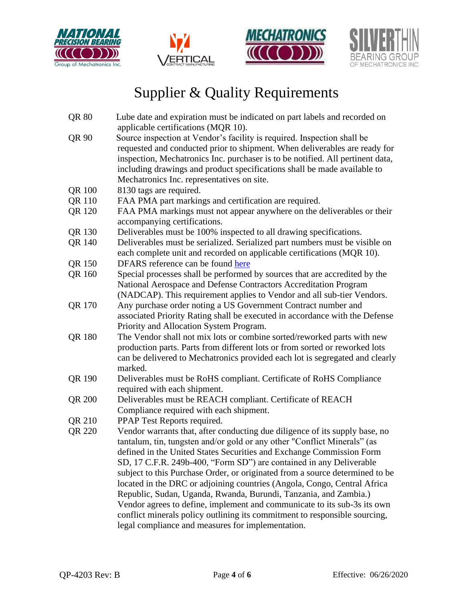







- QR 80 Lube date and expiration must be indicated on part labels and recorded on applicable certifications (MQR 10).
- QR 90 Source inspection at Vendor's facility is required. Inspection shall be requested and conducted prior to shipment. When deliverables are ready for inspection, Mechatronics Inc. purchaser is to be notified. All pertinent data, including drawings and product specifications shall be made available to Mechatronics Inc. representatives on site.
- QR 100 8130 tags are required.
- QR 110 FAA PMA part markings and certification are required.
- QR 120 FAA PMA markings must not appear anywhere on the deliverables or their accompanying certifications.
- QR 130 Deliverables must be 100% inspected to all drawing specifications.
- QR 140 Deliverables must be serialized. Serialized part numbers must be visible on each complete unit and recorded on applicable certifications (MQR 10).
- QR 150 DFARS reference can be found [here](file://///mechatronicsinc.com/mdata/quality/Exports/DFARS%20Table%20Of%20Contents.htm)
- QR 160 Special processes shall be performed by sources that are accredited by the National Aerospace and Defense Contractors Accreditation Program (NADCAP). This requirement applies to Vendor and all sub-tier Vendors.
- QR 170 Any purchase order noting a US Government Contract number and associated Priority Rating shall be executed in accordance with the Defense Priority and Allocation System Program.
- QR 180 The Vendor shall not mix lots or combine sorted/reworked parts with new production parts. Parts from different lots or from sorted or reworked lots can be delivered to Mechatronics provided each lot is segregated and clearly marked.
- QR 190 Deliverables must be RoHS compliant. Certificate of RoHS Compliance required with each shipment.
- QR 200 Deliverables must be REACH compliant. Certificate of REACH Compliance required with each shipment.
- QR 210 PPAP Test Reports required.
- QR 220 Vendor warrants that, after conducting due diligence of its supply base, no tantalum, tin, tungsten and/or gold or any other "Conflict Minerals" (as defined in the United States Securities and Exchange Commission Form SD, 17 C.F.R. 249b-400, "Form SD") are contained in any Deliverable subject to this Purchase Order, or originated from a source determined to be located in the DRC or adjoining countries (Angola, Congo, Central Africa Republic, Sudan, Uganda, Rwanda, Burundi, Tanzania, and Zambia.) Vendor agrees to define, implement and communicate to its sub-3s its own conflict minerals policy outlining its commitment to responsible sourcing, legal compliance and measures for implementation.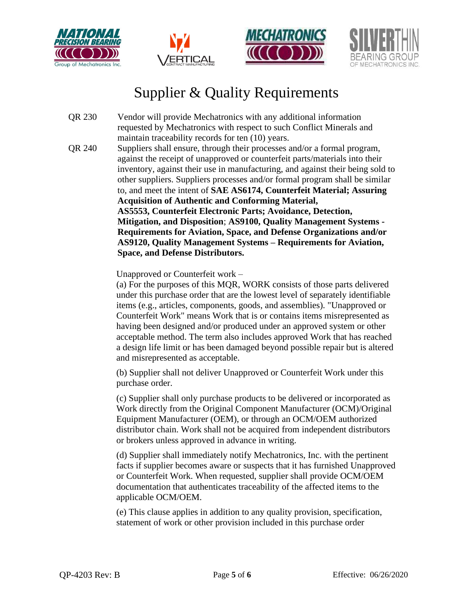







- QR 230 Vendor will provide Mechatronics with any additional information requested by Mechatronics with respect to such Conflict Minerals and maintain traceability records for ten (10) years.
- QR 240 Suppliers shall ensure, through their processes and/or a formal program, against the receipt of unapproved or counterfeit parts/materials into their inventory, against their use in manufacturing, and against their being sold to other suppliers. Suppliers processes and/or formal program shall be similar to, and meet the intent of **SAE AS6174, Counterfeit Material; Assuring Acquisition of Authentic and Conforming Material, AS5553, Counterfeit Electronic Parts; Avoidance, Detection, Mitigation, and Disposition**; **AS9100, Quality Management Systems - Requirements for Aviation, Space, and Defense Organizations and/or AS9120, Quality Management Systems – Requirements for Aviation, Space, and Defense Distributors.**

Unapproved or Counterfeit work –

(a) For the purposes of this MQR, WORK consists of those parts delivered under this purchase order that are the lowest level of separately identifiable items (e.g., articles, components, goods, and assemblies). "Unapproved or Counterfeit Work" means Work that is or contains items misrepresented as having been designed and/or produced under an approved system or other acceptable method. The term also includes approved Work that has reached a design life limit or has been damaged beyond possible repair but is altered and misrepresented as acceptable.

(b) Supplier shall not deliver Unapproved or Counterfeit Work under this purchase order.

(c) Supplier shall only purchase products to be delivered or incorporated as Work directly from the Original Component Manufacturer (OCM)/Original Equipment Manufacturer (OEM), or through an OCM/OEM authorized distributor chain. Work shall not be acquired from independent distributors or brokers unless approved in advance in writing.

(d) Supplier shall immediately notify Mechatronics, Inc. with the pertinent facts if supplier becomes aware or suspects that it has furnished Unapproved or Counterfeit Work. When requested, supplier shall provide OCM/OEM documentation that authenticates traceability of the affected items to the applicable OCM/OEM.

(e) This clause applies in addition to any quality provision, specification, statement of work or other provision included in this purchase order